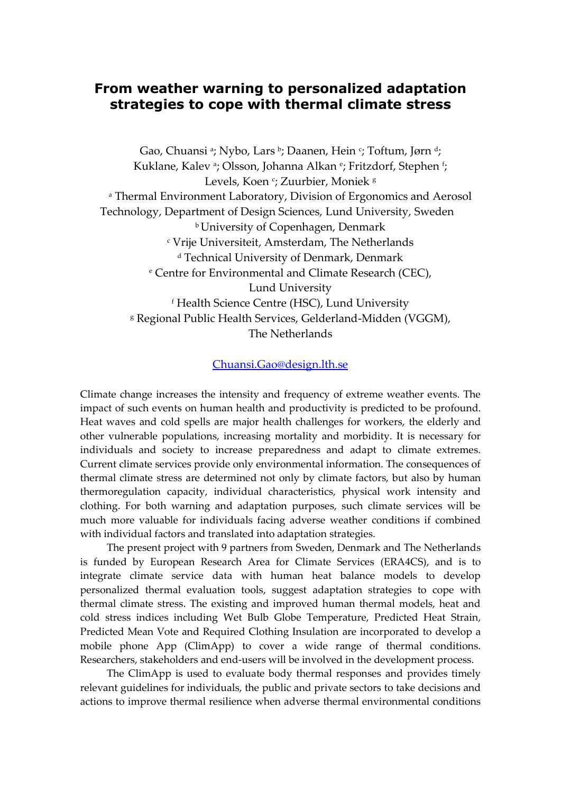## **From weather warning to personalized adaptation strategies to cope with thermal climate stress**

Gao, Chuansi <sup>a</sup>; Nybo, Lars <sup>b</sup>; Daanen, Hein <sup>c</sup>; Toftum, Jørn <sup>d</sup>; Kuklane, Kalev <sup>a</sup>; Olsson, Johanna Alkan <sup>e</sup>; Fritzdorf, Stephen <sup>f</sup>; Levels, Koen <sup>c</sup>; Zuurbier, Moniek <sup>g</sup> <sup>a</sup> Thermal Environment Laboratory, Division of Ergonomics and Aerosol Technology, Department of Design Sciences, Lund University, Sweden **b** University of Copenhagen, Denmark <sup>c</sup> Vrije Universiteit, Amsterdam, The Netherlands <sup>d</sup> Technical University of Denmark, Denmark <sup>e</sup> Centre for Environmental and Climate Research (CEC), Lund University <sup>f</sup> Health Science Centre (HSC), Lund University <sup>g</sup> Regional Public Health Services, Gelderland-Midden (VGGM), The Netherlands

## [Chuansi.Gao@design.lth.se](mailto:Chuansi.Gao@design.lth.se)

Climate change increases the intensity and frequency of extreme weather events. The impact of such events on human health and productivity is predicted to be profound. Heat waves and cold spells are major health challenges for workers, the elderly and other vulnerable populations, increasing mortality and morbidity. It is necessary for individuals and society to increase preparedness and adapt to climate extremes. Current climate services provide only environmental information. The consequences of thermal climate stress are determined not only by climate factors, but also by human thermoregulation capacity, individual characteristics, physical work intensity and clothing. For both warning and adaptation purposes, such climate services will be much more valuable for individuals facing adverse weather conditions if combined with individual factors and translated into adaptation strategies.

The present project with 9 partners from Sweden, Denmark and The Netherlands is funded by European Research Area for Climate Services (ERA4CS), and is to integrate climate service data with human heat balance models to develop personalized thermal evaluation tools, suggest adaptation strategies to cope with thermal climate stress. The existing and improved human thermal models, heat and cold stress indices including Wet Bulb Globe Temperature, Predicted Heat Strain, Predicted Mean Vote and Required Clothing Insulation are incorporated to develop a mobile phone App (ClimApp) to cover a wide range of thermal conditions. Researchers, stakeholders and end-users will be involved in the development process.

The ClimApp is used to evaluate body thermal responses and provides timely relevant guidelines for individuals, the public and private sectors to take decisions and actions to improve thermal resilience when adverse thermal environmental conditions